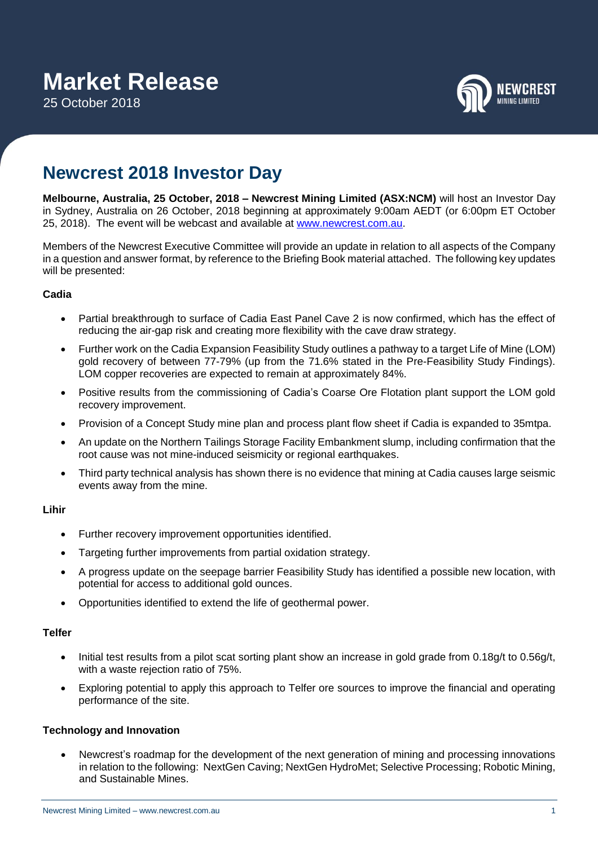25 October 2018



# **Newcrest 2018 Investor Day**

**Melbourne, Australia, 25 October, 2018 – Newcrest Mining Limited (ASX:NCM)** will host an Investor Day in Sydney, Australia on 26 October, 2018 beginning at approximately 9:00am AEDT (or 6:00pm ET October 25, 2018). The event will be webcast and available at [www.newcrest.com.au.](http://www.newcrest.com.au/)

Members of the Newcrest Executive Committee will provide an update in relation to all aspects of the Company in a question and answer format, by reference to the Briefing Book material attached. The following key updates will be presented:

## **Cadia**

- Partial breakthrough to surface of Cadia East Panel Cave 2 is now confirmed, which has the effect of reducing the air-gap risk and creating more flexibility with the cave draw strategy.
- Further work on the Cadia Expansion Feasibility Study outlines a pathway to a target Life of Mine (LOM) gold recovery of between 77-79% (up from the 71.6% stated in the Pre-Feasibility Study Findings). LOM copper recoveries are expected to remain at approximately 84%.
- Positive results from the commissioning of Cadia's Coarse Ore Flotation plant support the LOM gold recovery improvement.
- Provision of a Concept Study mine plan and process plant flow sheet if Cadia is expanded to 35mtpa.
- An update on the Northern Tailings Storage Facility Embankment slump, including confirmation that the root cause was not mine-induced seismicity or regional earthquakes.
- Third party technical analysis has shown there is no evidence that mining at Cadia causes large seismic events away from the mine.

## **Lihir**

- Further recovery improvement opportunities identified.
- Targeting further improvements from partial oxidation strategy.
- A progress update on the seepage barrier Feasibility Study has identified a possible new location, with potential for access to additional gold ounces.
- Opportunities identified to extend the life of geothermal power.

#### **Telfer**

- Initial test results from a pilot scat sorting plant show an increase in gold grade from 0.18g/t to 0.56g/t, with a waste rejection ratio of 75%.
- Exploring potential to apply this approach to Telfer ore sources to improve the financial and operating performance of the site.

## **Technology and Innovation**

• Newcrest's roadmap for the development of the next generation of mining and processing innovations in relation to the following: NextGen Caving; NextGen HydroMet; Selective Processing; Robotic Mining, and Sustainable Mines.